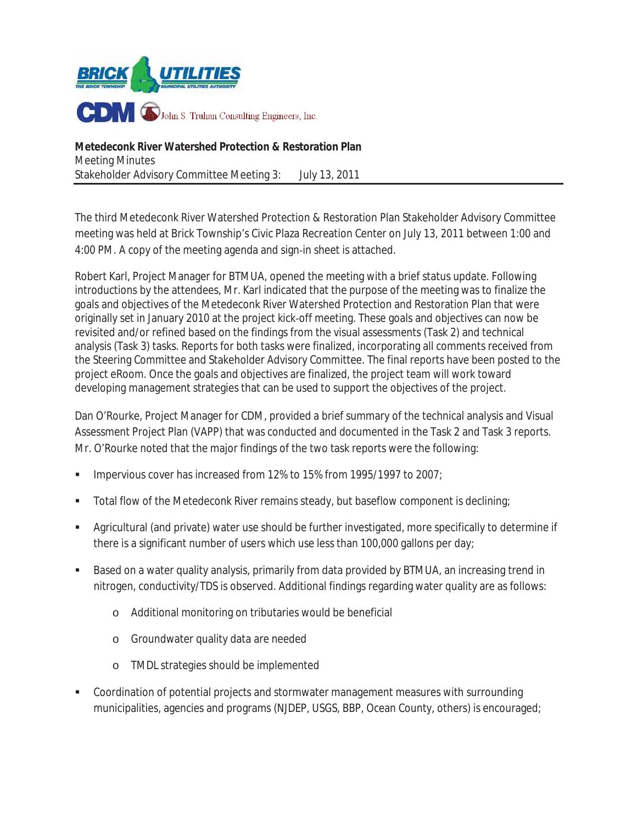

**Metedeconk River Watershed Protection & Restoration Plan** Meeting Minutes Stakeholder Advisory Committee Meeting 3: July 13, 2011

The third Metedeconk River Watershed Protection & Restoration Plan Stakeholder Advisory Committee meeting was held at Brick Township's Civic Plaza Recreation Center on July 13, 2011 between 1:00 and 4:00 PM. A copy of the meeting agenda and sign-in sheet is attached.

Robert Karl, Project Manager for BTMUA, opened the meeting with a brief status update. Following introductions by the attendees, Mr. Karl indicated that the purpose of the meeting was to finalize the goals and objectives of the Metedeconk River Watershed Protection and Restoration Plan that were originally set in January 2010 at the project kick-off meeting. These goals and objectives can now be revisited and/or refined based on the findings from the visual assessments (Task 2) and technical analysis (Task 3) tasks. Reports for both tasks were finalized, incorporating all comments received from the Steering Committee and Stakeholder Advisory Committee. The final reports have been posted to the project eRoom. Once the goals and objectives are finalized, the project team will work toward developing management strategies that can be used to support the objectives of the project.

Dan O'Rourke, Project Manager for CDM, provided a brief summary of the technical analysis and Visual Assessment Project Plan (VAPP) that was conducted and documented in the Task 2 and Task 3 reports. Mr. O'Rourke noted that the major findings of the two task reports were the following:

- Impervious cover has increased from 12% to 15% from 1995/1997 to 2007;
- Total flow of the Metedeconk River remains steady, but baseflow component is declining;
- Agricultural (and private) water use should be further investigated, more specifically to determine if there is a significant number of users which use less than 100,000 gallons per day;
- Based on a water quality analysis, primarily from data provided by BTMUA, an increasing trend in nitrogen, conductivity/TDS is observed. Additional findings regarding water quality are as follows:
	- o Additional monitoring on tributaries would be beneficial
	- o Groundwater quality data are needed
	- o TMDL strategies should be implemented
- Coordination of potential projects and stormwater management measures with surrounding municipalities, agencies and programs (NJDEP, USGS, BBP, Ocean County, others) is encouraged;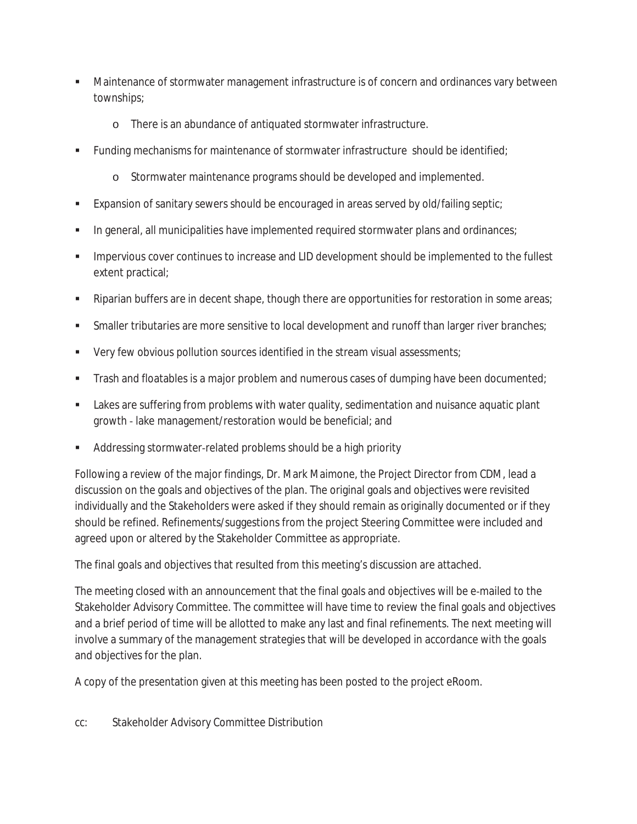- Maintenance of stormwater management infrastructure is of concern and ordinances vary between townships;
	- o There is an abundance of antiquated stormwater infrastructure.
- Funding mechanisms for maintenance of stormwater infrastructure should be identified;
	- o Stormwater maintenance programs should be developed and implemented.
- Expansion of sanitary sewers should be encouraged in areas served by old/failing septic;
- In general, all municipalities have implemented required stormwater plans and ordinances;
- Impervious cover continues to increase and LID development should be implemented to the fullest extent practical;
- Riparian buffers are in decent shape, though there are opportunities for restoration in some areas;
- Smaller tributaries are more sensitive to local development and runoff than larger river branches;
- Very few obvious pollution sources identified in the stream visual assessments;
- Trash and floatables is a major problem and numerous cases of dumping have been documented;
- Lakes are suffering from problems with water quality, sedimentation and nuisance aquatic plant growth - lake management/restoration would be beneficial; and
- Addressing stormwater-related problems should be a high priority

Following a review of the major findings, Dr. Mark Maimone, the Project Director from CDM, lead a discussion on the goals and objectives of the plan. The original goals and objectives were revisited individually and the Stakeholders were asked if they should remain as originally documented or if they should be refined. Refinements/suggestions from the project Steering Committee were included and agreed upon or altered by the Stakeholder Committee as appropriate.

The final goals and objectives that resulted from this meeting's discussion are attached.

The meeting closed with an announcement that the final goals and objectives will be e-mailed to the Stakeholder Advisory Committee. The committee will have time to review the final goals and objectives and a brief period of time will be allotted to make any last and final refinements. The next meeting will involve a summary of the management strategies that will be developed in accordance with the goals and objectives for the plan.

A copy of the presentation given at this meeting has been posted to the project eRoom.

cc: Stakeholder Advisory Committee Distribution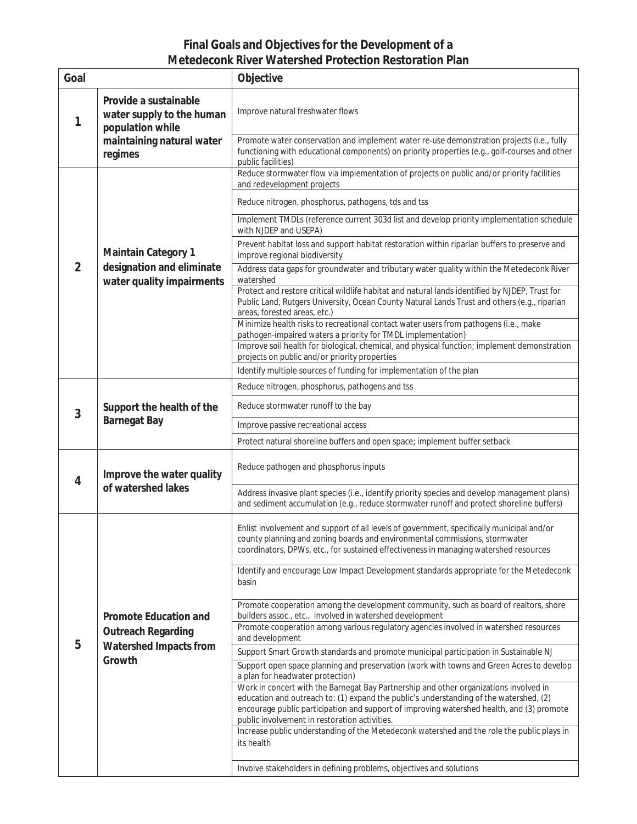#### **Final Goals and Objectives for the Development of a Metedeconk River Watershed Protection Restoration Plan**

| Goal           |                                                                                                                | Objective                                                                                                                                                                                                                                                         |  |  |
|----------------|----------------------------------------------------------------------------------------------------------------|-------------------------------------------------------------------------------------------------------------------------------------------------------------------------------------------------------------------------------------------------------------------|--|--|
| 1              | Provide a sustainable<br>water supply to the human<br>population while<br>maintaining natural water<br>regimes | Improve natural freshwater flows                                                                                                                                                                                                                                  |  |  |
|                |                                                                                                                | Promote water conservation and implement water re-use demonstration projects (i.e., fully<br>functioning with educational components) on priority properties (e.g., golf-courses and other<br>public facilities)                                                  |  |  |
| $\overline{2}$ | <b>Maintain Category 1</b><br>designation and eliminate<br>water quality impairments                           | Reduce stormwater flow via implementation of projects on public and/or priority facilities<br>and redevelopment projects                                                                                                                                          |  |  |
|                |                                                                                                                | Reduce nitrogen, phosphorus, pathogens, tds and tss                                                                                                                                                                                                               |  |  |
|                |                                                                                                                | Implement TMDLs (reference current 303d list and develop priority implementation schedule<br>with NJDEP and USEPA)                                                                                                                                                |  |  |
|                |                                                                                                                | Prevent habitat loss and support habitat restoration within riparian buffers to preserve and<br>improve regional biodiversity                                                                                                                                     |  |  |
|                |                                                                                                                | Address data gaps for groundwater and tributary water quality within the Metedeconk River<br>watershed                                                                                                                                                            |  |  |
|                |                                                                                                                | Protect and restore critical wildlife habitat and natural lands identified by NJDEP, Trust for<br>Public Land, Rutgers University, Ocean County Natural Lands Trust and others (e.g., riparian<br>areas, forested areas, etc.)                                    |  |  |
|                |                                                                                                                | Minimize health risks to recreational contact water users from pathogens (i.e., make<br>pathogen-impaired waters a priority for TMDL implementation)                                                                                                              |  |  |
|                |                                                                                                                | Improve soil health for biological, chemical, and physical function; implement demonstration<br>projects on public and/or priority properties                                                                                                                     |  |  |
|                |                                                                                                                | Identify multiple sources of funding for implementation of the plan                                                                                                                                                                                               |  |  |
|                | Support the health of the<br><b>Barnegat Bay</b>                                                               | Reduce nitrogen, phosphorus, pathogens and tss                                                                                                                                                                                                                    |  |  |
| 3              |                                                                                                                | Reduce stormwater runoff to the bay                                                                                                                                                                                                                               |  |  |
|                |                                                                                                                | Improve passive recreational access                                                                                                                                                                                                                               |  |  |
|                |                                                                                                                | Protect natural shoreline buffers and open space; implement buffer setback                                                                                                                                                                                        |  |  |
| 4              | Improve the water quality<br>of watershed lakes                                                                | Reduce pathogen and phosphorus inputs                                                                                                                                                                                                                             |  |  |
|                |                                                                                                                | Address invasive plant species (i.e., identify priority species and develop management plans)<br>and sediment accumulation (e.g., reduce stormwater runoff and protect shoreline buffers)                                                                         |  |  |
| 5              | <b>Promote Education and</b><br><b>Outreach Regarding</b><br>Watershed Impacts from<br>Growth                  | Enlist involvement and support of all levels of government, specifically municipal and/or<br>county planning and zoning boards and environmental commissions, stormwater<br>coordinators, DPWs, etc., for sustained effectiveness in managing watershed resources |  |  |
|                |                                                                                                                | Identify and encourage Low Impact Development standards appropriate for the Metedeconk<br>basin                                                                                                                                                                   |  |  |
|                |                                                                                                                | Promote cooperation among the development community, such as board of realtors, shore<br>builders assoc., etc., involved in watershed development                                                                                                                 |  |  |
|                |                                                                                                                | Promote cooperation among various regulatory agencies involved in watershed resources<br>and development                                                                                                                                                          |  |  |
|                |                                                                                                                | Support Smart Growth standards and promote municipal participation in Sustainable NJ                                                                                                                                                                              |  |  |
|                |                                                                                                                | Support open space planning and preservation (work with towns and Green Acres to develop<br>a plan for headwater protection)                                                                                                                                      |  |  |
|                |                                                                                                                | Work in concert with the Barnegat Bay Partnership and other organizations involved in<br>education and outreach to: (1) expand the public's understanding of the watershed, (2)                                                                                   |  |  |
|                |                                                                                                                | encourage public participation and support of improving watershed health, and (3) promote                                                                                                                                                                         |  |  |
|                |                                                                                                                | public involvement in restoration activities.<br>Increase public understanding of the Metedeconk watershed and the role the public plays in                                                                                                                       |  |  |
|                |                                                                                                                | its health                                                                                                                                                                                                                                                        |  |  |
|                |                                                                                                                | Involve stakeholders in defining problems, objectives and solutions                                                                                                                                                                                               |  |  |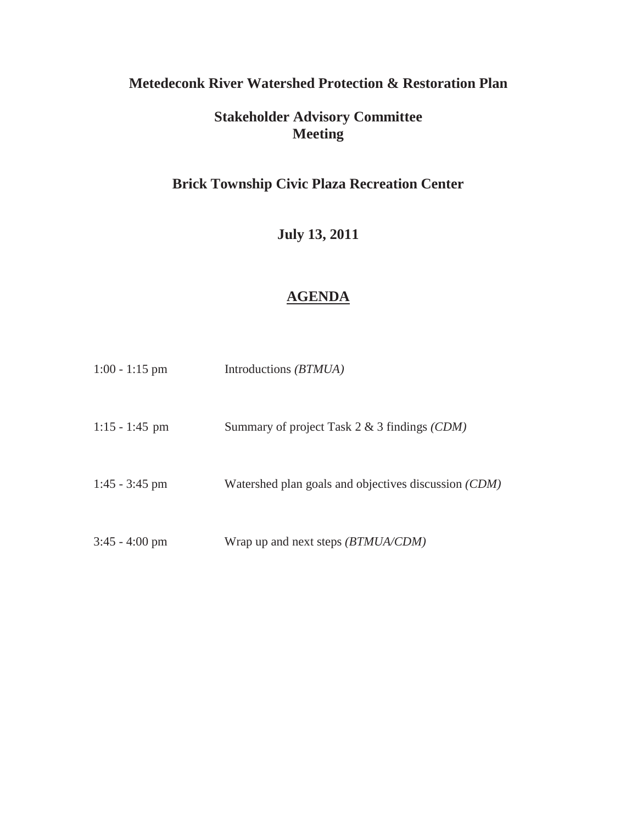## **Metedeconk River Watershed Protection & Restoration Plan**

# **Stakeholder Advisory Committee Meeting**

# **Brick Township Civic Plaza Recreation Center**

**July 13, 2011** 

### **AGENDA**

| $1:00 - 1:15$ pm | Introductions <i>(BTMUA)</i>                         |
|------------------|------------------------------------------------------|
| $1:15 - 1:45$ pm | Summary of project Task $2 \& 3$ findings (CDM)      |
| $1:45 - 3:45$ pm | Watershed plan goals and objectives discussion (CDM) |
| $3:45 - 4:00$ pm | Wrap up and next steps (BTMUA/CDM)                   |